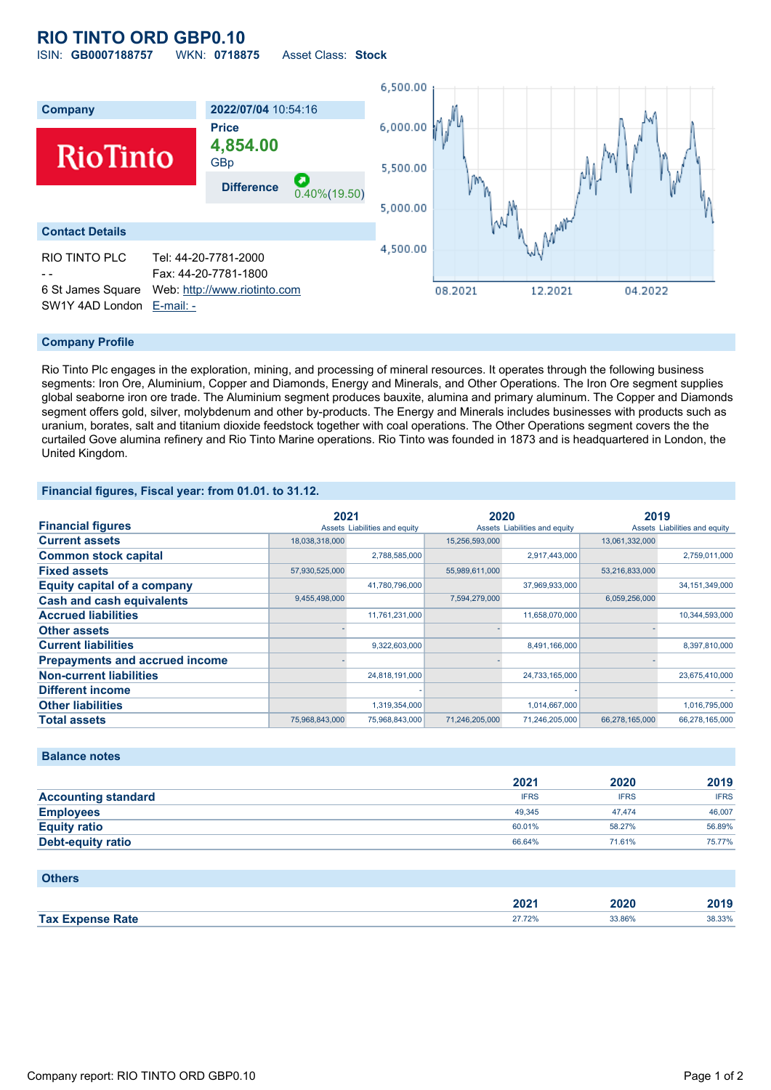# **RIO TINTO ORD GBP0.10**

ISIN: **GB0007188757** WKN: **0718875** Asset Class: **Stock**



### **Company Profile**

Rio Tinto Plc engages in the exploration, mining, and processing of mineral resources. It operates through the following business segments: Iron Ore, Aluminium, Copper and Diamonds, Energy and Minerals, and Other Operations. The Iron Ore segment supplies global seaborne iron ore trade. The Aluminium segment produces bauxite, alumina and primary aluminum. The Copper and Diamonds segment offers gold, silver, molybdenum and other by-products. The Energy and Minerals includes businesses with products such as uranium, borates, salt and titanium dioxide feedstock together with coal operations. The Other Operations segment covers the the curtailed Gove alumina refinery and Rio Tinto Marine operations. Rio Tinto was founded in 1873 and is headquartered in London, the United Kingdom.

#### **Financial figures, Fiscal year: from 01.01. to 31.12.**

|                                       | 2021           |                               | 2020           |                               | 2019           |                               |
|---------------------------------------|----------------|-------------------------------|----------------|-------------------------------|----------------|-------------------------------|
| <b>Financial figures</b>              |                | Assets Liabilities and equity |                | Assets Liabilities and equity |                | Assets Liabilities and equity |
| <b>Current assets</b>                 | 18,038,318,000 |                               | 15,256,593,000 |                               | 13,061,332,000 |                               |
| <b>Common stock capital</b>           |                | 2,788,585,000                 |                | 2,917,443,000                 |                | 2,759,011,000                 |
| <b>Fixed assets</b>                   | 57,930,525,000 |                               | 55,989,611,000 |                               | 53,216,833,000 |                               |
| <b>Equity capital of a company</b>    |                | 41,780,796,000                |                | 37,969,933,000                |                | 34, 151, 349, 000             |
| <b>Cash and cash equivalents</b>      | 9,455,498,000  |                               | 7,594,279,000  |                               | 6,059,256,000  |                               |
| <b>Accrued liabilities</b>            |                | 11,761,231,000                |                | 11,658,070,000                |                | 10,344,593,000                |
| <b>Other assets</b>                   |                |                               |                |                               |                |                               |
| <b>Current liabilities</b>            |                | 9,322,603,000                 |                | 8,491,166,000                 |                | 8,397,810,000                 |
| <b>Prepayments and accrued income</b> |                |                               |                |                               |                |                               |
| <b>Non-current liabilities</b>        |                | 24,818,191,000                |                | 24,733,165,000                |                | 23,675,410,000                |
| <b>Different income</b>               |                |                               |                |                               |                |                               |
| <b>Other liabilities</b>              |                | 1,319,354,000                 |                | 1,014,667,000                 |                | 1,016,795,000                 |
| <b>Total assets</b>                   | 75,968,843,000 | 75,968,843,000                | 71,246,205,000 | 71,246,205,000                | 66,278,165,000 | 66,278,165,000                |

#### **Balance notes**

|                            | 2021        | 2020        | 2019        |
|----------------------------|-------------|-------------|-------------|
| <b>Accounting standard</b> | <b>IFRS</b> | <b>IFRS</b> | <b>IFRS</b> |
| <b>Employees</b>           | 49.345      | 47.474      | 46,007      |
| <b>Equity ratio</b>        | 60.01%      | 58.27%      | 56.89%      |
| <b>Debt-equity ratio</b>   | 66.64%      | 71.61%      | 75.77%      |

| <b>Others</b>           |        |        |        |
|-------------------------|--------|--------|--------|
|                         | 2021   | 2020   | 2019   |
| <b>Tax Expense Rate</b> | 27.72% | 33.86% | 38.33% |